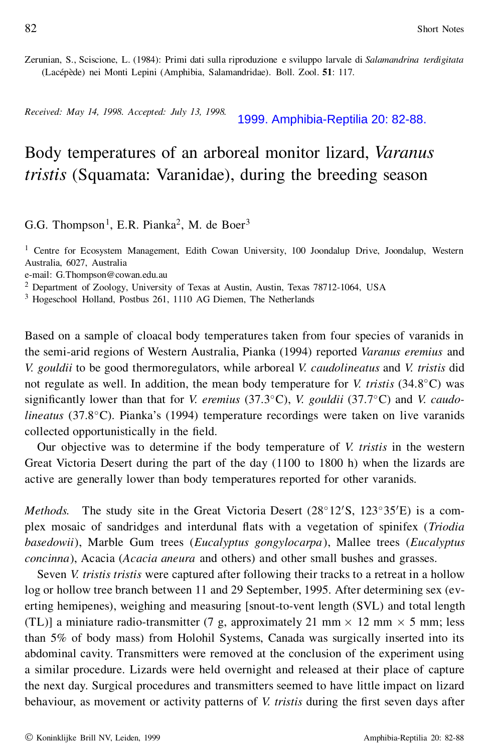## Body temperatures of an arboreal monitor lizard, *Varanus tristis* (Squamata: Varanidae), during the breeding season

G.G. Thompson<sup>1</sup>, E.R. Pianka<sup>2</sup>, M. de Boer<sup>3</sup>

<sup>1</sup> Centre for Ecosystem Management, Edith Cowan University, 100 Joondalup Drive, Joondalup, Western Australia, 6027, Australia

e-mail: G.Thompson@cowan.edu.au

<sup>2</sup> Department of Zoology, University of Texas at Austin, Austin, Texas 78712-1064, USA

<sup>3</sup> Hogeschool Holland, Postbus 261, 1110 AG Diemen, The Netherlands

Based on a sample of cloacal body temperatures taken from four species of varanids in the semi-arid regions of Western Australia, Pianka (1994) reported *Varanus eremius* and *V. gouldii* to be good thermoregulators, while arboreal *V. caudolineatus* and *V. tristis* did not regulate as well. In addition, the mean body temperature for *V. tristis* (34.8¯C) was significantly lower than that for *V. eremius* (37.3 $^{\circ}$ C), *V. gouldii* (37.7 $^{\circ}$ C) and *V. caudolineatus* (37.8°C). Pianka's (1994) temperature recordings were taken on live varanids collected opportunistically in the field.

Our objective was to determine if the body temperature of *V. tristis* in the western Great Victoria Desert during the part of the day (1100 to 1800 h) when the lizards are active are generally lower than body temperatures reported for other varanids.

*Methods.* The study site in the Great Victoria Desert  $(28°12'S, 123°35'E)$  is a complex mosaic of sandridges and interdunal flats with a vegetation of spinifex (*Triodia basedowii*), Marble Gum trees (*Eucalyptus gongylocarpa*), Mallee trees (*Eucalyptus concinna*), Acacia (*Acacia aneura* and others) and other small bushes and grasses.

Seven *V. tristis tristis* were captured after following their tracks to a retreat in a hollow log or hollow tree branch between 11 and 29 September, 1995. After determining sex (everting hemipenes), weighing and measuring [snout-to-vent length (SVL) and total length (TL)] a miniature radio-transmitter (7 g, approximately 21 mm  $\times$  12 mm  $\times$  5 mm; less than 5% of body mass) from Holohil Systems, Canada was surgically inserted into its abdominal cavity. Transmitters were removed at the conclusion of the experiment using a similar procedure. Lizards were held overnight and released at their place of capture the next day. Surgical procedures and transmitters seemed to have little impact on lizard behaviour, as movement or activity patterns of *V. tristis* during the first seven days after 1999. Amphibia-Reptilia 20: 82-88.<br>
Body temperatures of an arboreal monitor lizard, Varantus<br>
Iristis (Squamata: Varantidae), during the breeding season<br>
GG. Thompson<sup>1</sup>, E.R. Pianka<sup>2</sup>, M. de Boer<sup>2</sup><br>
Contr for Ecosygen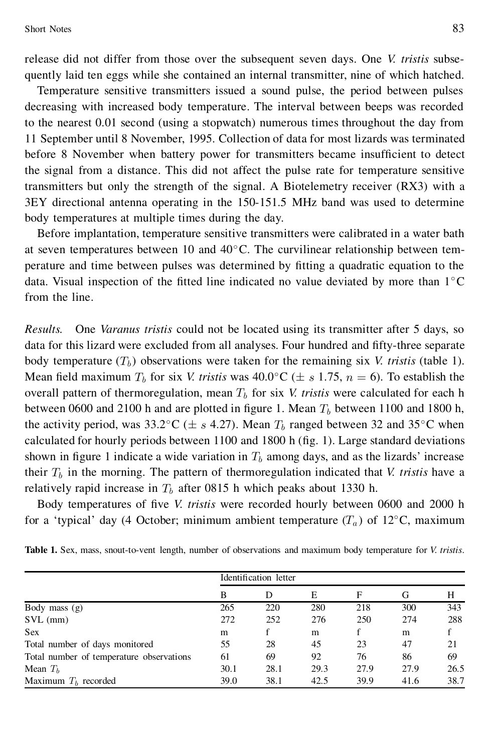release did not differ from those over the subsequent seven days. One *V. tristis* subsequently laid ten eggs while she contained an internal transmitter, nine of which hatched.

Temperature sensitive transmitters issued a sound pulse, the period between pulses decreasing with increased body temperature. The interval between beeps was recorded to the nearest 0.01 second (using a stopwatch) numerous times throughout the day from 11 September until 8 November, 1995. Collection of data for most lizards was terminated before 8 November when battery power for transmitters became insufficient to detect the signal from a distance. This did not affect the pulse rate for temperature sensitive transmitters but only the strength of the signal. A Biotelemetry receiver (RX3) with a 3EY directional antenna operating in the 150-151.5 MHz band was used to determine body temperatures at multiple times during the day.

Before implantation, temperature sensitive transmitters were calibrated in a water bath at seven temperatures between 10 and  $40^{\circ}$ C. The curvilinear relationship between temperature and time between pulses was determined by tting a quadratic equation to the data. Visual inspection of the fitted line indicated no value deviated by more than  $1^{\circ}$ C from the line.

*Results.* One *Varanus tristis* could not be located using its transmitter after 5 days, so data for this lizard were excluded from all analyses. Four hundred and fty-three separate body temperature  $(T_b)$  observations were taken for the remaining six *V. tristis* (table 1). Mean field maximum  $T_b$  for six *V. tristis* was  $40.0^{\circ}$ C ( $\pm s$  1.75,  $n = 6$ ). To establish the overall pattern of thermoregulation, mean  $T<sub>b</sub>$  for six *V. tristis* were calculated for each h between 0600 and 2100 h and are plotted in figure 1. Mean  $T<sub>b</sub>$  between 1100 and 1800 h, the activity period, was 33.2°C ( $\pm s$  4.27). Mean  $T_b$  ranged between 32 and 35°C when calculated for hourly periods between  $1100$  and  $1800$  h (fig. 1). Large standard deviations shown in figure 1 indicate a wide variation in  $T<sub>b</sub>$  among days, and as the lizards' increase their  $T_b$  in the morning. The pattern of thermoregulation indicated that *V. tristis* have a relatively rapid increase in  $T_b$  after 0815 h which peaks about 1330 h.

Body temperatures of five *V. tristis* were recorded hourly between 0600 and 2000 h for a 'typical' day (4 October; minimum ambient temperature  $(T_a)$  of 12 $\degree$ C, maximum

| Table 1. Sex, mass, snout-to-vent length, number of observations and maximum body temperature for <i>V. tristis</i> . |  |  |  |  |
|-----------------------------------------------------------------------------------------------------------------------|--|--|--|--|
|-----------------------------------------------------------------------------------------------------------------------|--|--|--|--|

|                                          |      | Identification letter |      |      |      |      |
|------------------------------------------|------|-----------------------|------|------|------|------|
|                                          | B    | D                     | E    | F    | G    | Н    |
| Body mass $(g)$                          | 265  | 220                   | 280  | 218  | 300  | 343  |
| $SVL$ (mm)                               | 272  | 252                   | 276  | 250  | 274  | 288  |
| <b>Sex</b>                               | m    |                       | m    |      | m    | f    |
| Total number of days monitored           | 55   | 28                    | 45   | 23   | 47   | 21   |
| Total number of temperature observations | 61   | 69                    | 92   | 76   | 86   | 69   |
| Mean $Tb$                                | 30.1 | 28.1                  | 29.3 | 27.9 | 27.9 | 26.5 |
| Maximum $Th$ recorded                    | 39.0 | 38.1                  | 42.5 | 39.9 | 41.6 | 38.7 |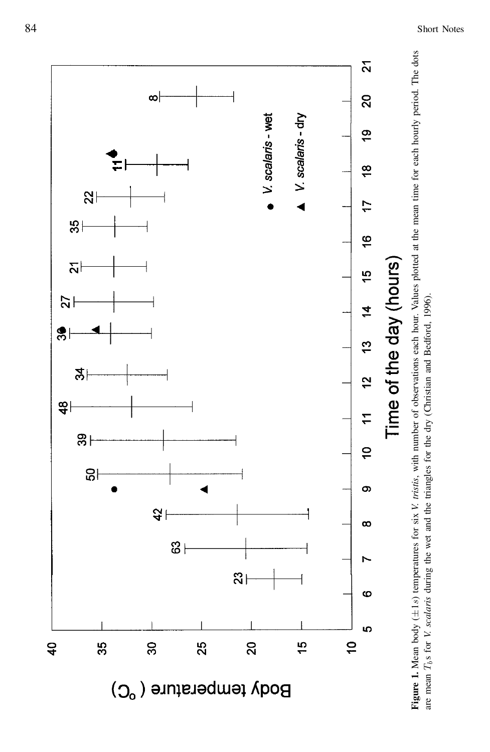

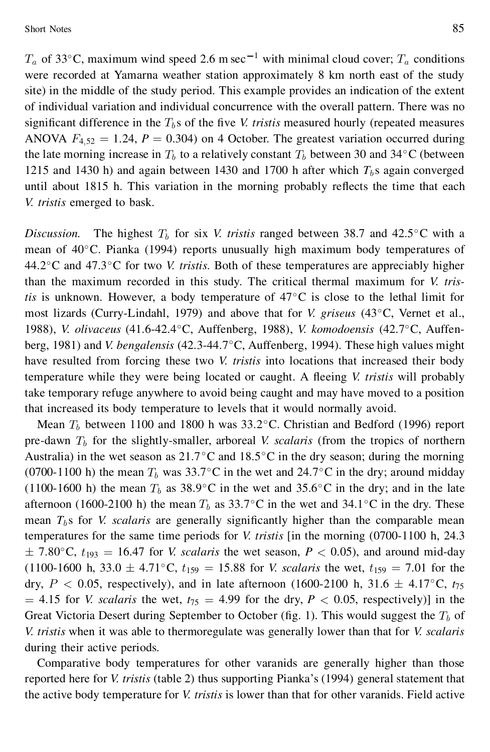Short Notes 85

 $T_a$  of 33°C, maximum wind speed 2.6 m sec<sup>-1</sup> with minimal cloud cover;  $T_a$  conditions were recorded at Yamarna weather station approximately 8 km north east of the study site) in the middle of the study period. This example provides an indication of the extent of individual variation and individual concurrence with the overall pattern. There was no significant difference in the  $T_b$ s of the five *V. tristis* measured hourly (repeated measures ANOVA  $F_{4,52} = 1.24$ ,  $P = 0.304$ ) on 4 October. The greatest variation occurred during the late morning increase in  $T_b$  to a relatively constant  $T_b$  between 30 and 34 $\degree$ C (between 1215 and 1430 h) and again between 1430 and 1700 h after which  $T<sub>b</sub>$  s again converged until about 1815 h. This variation in the morning probably reflects the time that each *V. tristis* emerged to bask.

*Discussion.* The highest  $T_b$  for six *V. tristis* ranged between 38.7 and 42.5 $\degree$ C with a mean of  $40^{\circ}$ C. Pianka (1994) reports unusually high maximum body temperatures of 44.2<sup>o</sup>C and 47.3<sup>o</sup>C for two *V. tristis*. Both of these temperatures are appreciably higher than the maximum recorded in this study. The critical thermal maximum for *V. tristis* is unknown. However, a body temperature of  $47^{\circ}$ C is close to the lethal limit for most lizards (Curry-Lindahl, 1979) and above that for *V. griseus* (43¯C, Vernet et al., 1988), *V. olivaceus* (41.6-42.4°C, Auffenberg, 1988), *V. komodoensis* (42.7°C, Auffenberg, 1981) and *V. bengalensis* (42.3-44.7°C, Auffenberg, 1994). These high values might have resulted from forcing these two *V. tristis* into locations that increased their body temperature while they were being located or caught. A fleeing *V. tristis* will probably take temporary refuge anywhere to avoid being caught and may have moved to a position that increased its body temperature to levels that it would normally avoid.

Mean  $T<sub>b</sub>$  between 1100 and 1800 h was 33.2°C. Christian and Bedford (1996) report pre-dawn  $T_b$  for the slightly-smaller, arboreal *V. scalaris* (from the tropics of northern Australia) in the wet season as  $21.7\degree$ C and  $18.5\degree$ C in the dry season; during the morning (0700-1100 h) the mean  $T_b$  was 33.7°C in the wet and 24.7°C in the dry; around midday (1100-1600 h) the mean  $T_b$  as 38.9°C in the wet and 35.6°C in the dry; and in the late afternoon (1600-2100 h) the mean  $T_b$  as 33.7°C in the wet and 34.1°C in the dry. These mean  $T_b$ s for *V. scalaris* are generally significantly higher than the comparable mean temperatures for the same time periods for *V. tristis* [in the morning (0700-1100 h, 24.3  $\pm$  7.80 $^{\circ}$ C,  $t_{193}$  = 16.47 for *V. scalaris* the wet season, *P* < 0.05), and around mid-day (1100-1600 h, 33.0  $\pm$  4.71<sup>o</sup>C,  $t_{159}$  = 15.88 for *V. scalaris* the wet,  $t_{159}$  = 7.01 for the dry,  $P < 0.05$ , respectively), and in late afternoon (1600-2100 h, 31.6  $\pm$  4.17<sup>o</sup>C,  $t_{75}$  $= 4.15$  for *V. scalaris* the wet,  $t_{75} = 4.99$  for the dry,  $P < 0.05$ , respectively)] in the Great Victoria Desert during September to October (fig. 1). This would suggest the  $T_b$  of *V. tristis* when it was able to thermoregulate was generally lower than that for *V. scalaris* during their active periods.

Comparative body temperatures for other varanids are generally higher than those reported here for *V. tristis* (table 2) thus supporting Pianka's (1994) general statement that the active body temperature for *V. tristis* is lower than that for other varanids. Field active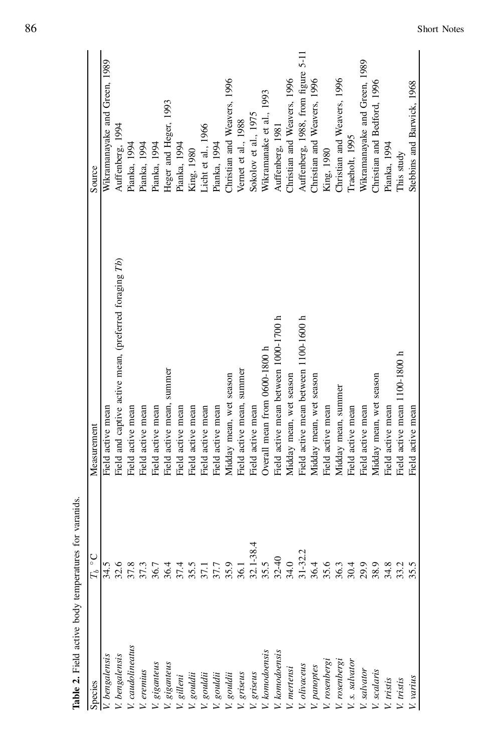| Species                                                                                                                                                         | $T_b \ ^{\circ}$ C | Measurement                                            | Source                             |
|-----------------------------------------------------------------------------------------------------------------------------------------------------------------|--------------------|--------------------------------------------------------|------------------------------------|
| V. bengalensis<br>V. bengalensis<br>V. caudolineaus<br>V. eremius<br>V. giganteus                                                                               | 34.5               | Field active mean                                      | Wikramanayake and Green, 1989      |
|                                                                                                                                                                 | 32.6               | Field and captive active mean, (preferred foraging Tb) | Auffenberg, 1994                   |
|                                                                                                                                                                 | 37.8               | Field active mean                                      | Pianka, 1994                       |
|                                                                                                                                                                 | 37.3               | Field active mean                                      | Pianka, 1994                       |
|                                                                                                                                                                 | 36.7               | Field active mean                                      | Pianka, 1994                       |
|                                                                                                                                                                 | 36.4               | Field active mean, summer                              | Heger and Heger, 1993              |
| V. giganteus<br>V. gilleni                                                                                                                                      | 37.4               | Field active mean                                      | Pianka, 1994                       |
| V. gouldii<br>V. gouldii<br>V. gouldii<br>V. griseus<br>V. griseus<br>V. komodoensis<br>V. panoptes<br>V. panoptes<br>V. panoptes<br>V. panoptes<br>V. panoptes | 35.5               | Field active mean                                      | King, 1980                         |
|                                                                                                                                                                 | 37.1               | Field active mean                                      | Licht et al., 1966                 |
|                                                                                                                                                                 | 37.7               | Field active mean                                      | Pianka, 1994                       |
|                                                                                                                                                                 | 35.9               | Midday mean, wet season                                | Christian and Weavers, 1996        |
|                                                                                                                                                                 | 36.1               | Field active mean, summer                              | Vernet et al., 1988                |
|                                                                                                                                                                 | $32.1 - 38.4$      | Field active mean                                      | Sokolov et al., 1975               |
|                                                                                                                                                                 | 35.5               | Overall mean from 0600-1800 h                          | Wikramanake et al., 1993           |
|                                                                                                                                                                 | $32 - 40$          | Field active mean between 1000-1700 h                  | Auffenberg, 1981                   |
|                                                                                                                                                                 | 34.0               | Midday mean, wet season                                | Christian and Weavers, 1996        |
|                                                                                                                                                                 | $31 - 32.2$        | Field active mean between 1100-1600 h                  | Auffenberg, 1988, from figure 5-11 |
|                                                                                                                                                                 | 36.4               | Midday mean, wet season                                | Christian and Weavers, 1996        |
|                                                                                                                                                                 | 35.6               | Field active mean                                      | King, 1980                         |
|                                                                                                                                                                 | 36.3               | Midday mean, summer                                    | Christian and Weavers, 1996        |
|                                                                                                                                                                 | 30.4               | Field active mean                                      | Tracholt, 1995                     |
| V. s. salvator<br>V. salvator                                                                                                                                   | 29.9               | Field active mean                                      | Wikramanayake and Green, 1989      |
|                                                                                                                                                                 | 38.9               | Midday mean, wet season                                | Christian and Bedford, 1996        |
| V. scalaris<br>V. tristis                                                                                                                                       | 34.8               | Field active mean                                      | Pianka, 1994                       |
| V. tristis                                                                                                                                                      | 33.2               | Field active mean 1100-1800 h                          | This study                         |
| V. varius                                                                                                                                                       | 35.5               | Field active mean                                      | Stebbins and Barwick, 1968         |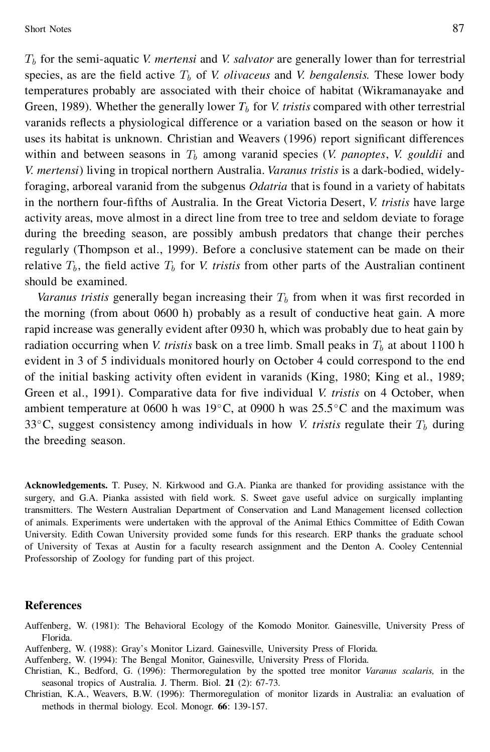Short Notes 87

 $T<sub>b</sub>$  for the semi-aquatic *V. mertensi* and *V. salvator* are generally lower than for terrestrial species, as are the field active  $T_b$  of *V. olivaceus* and *V. bengalensis.* These lower body temperatures probably are associated with their choice of habitat (Wikramanayake and Green, 1989). Whether the generally lower  $T_b$  for *V. tristis* compared with other terrestrial varanids reflects a physiological difference or a variation based on the season or how it uses its habitat is unknown. Christian and Weavers (1996) report significant differences within and between seasons in  $T<sub>b</sub>$  among varanid species (*V. panoptes, V. gouldii* and *V. mertensi*) living in tropical northern Australia. *Varanus tristis* is a dark-bodied, widelyforaging, arboreal varanid from the subgenus *Odatria* that is found in a variety of habitats in the northern four-fifths of Australia. In the Great Victoria Desert, *V. tristis* have large activity areas, move almost in a direct line from tree to tree and seldom deviate to forage during the breeding season, are possibly ambush predators that change their perches regularly (Thompson et al., 1999). Before a conclusive statement can be made on their relative  $T_b$ , the field active  $T_b$  for *V. tristis* from other parts of the Australian continent should be examined.

*Varanus tristis* generally began increasing their  $T<sub>b</sub>$  from when it was first recorded in the morning (from about 0600 h) probably as a result of conductive heat gain. A more rapid increase was generally evident after 0930 h, which was probably due to heat gain by radiation occurring when *V. tristis* bask on a tree limb. Small peaks in  $T<sub>b</sub>$  at about 1100 h evident in 3 of 5 individuals monitored hourly on October 4 could correspond to the end of the initial basking activity often evident in varanids (King, 1980; King et al., 1989; Green et al., 1991). Comparative data for five individual *V. tristis* on 4 October, when ambient temperature at 0600 h was 19 $\degree$ C, at 0900 h was 25.5 $\degree$ C and the maximum was 33 $\degree$ C, suggest consistency among individuals in how *V. tristis* regulate their  $T_b$  during the breeding season.

**Acknowledgements.** T. Pusey, N. Kirkwood and G.A. Pianka are thanked for providing assistance with the surgery, and G.A. Pianka assisted with field work. S. Sweet gave useful advice on surgically implanting transmitters. The Western Australian Department of Conservation and Land Management licensed collection of animals. Experiments were undertaken with the approval of the Animal Ethics Committee of Edith Cowan University. Edith Cowan University provided some funds for this research. ERP thanks the graduate school of University of Texas at Austin for a faculty research assignment and the Denton A. Cooley Centennial Professorship of Zoology for funding part of this project.

## **References**

- Auffenberg, W. (1981): The Behavioral Ecology of the Komodo Monitor. Gainesville, University Press of Florida.
- Auffenberg, W. (1988): Gray's Monitor Lizard. Gainesville, University Press of Florida.
- Auffenberg, W. (1994): The Bengal Monitor, Gainesville, University Press of Florida.
- Christian, K., Bedford, G. (1996): Thermoregulation by the spotted tree monitor *Varanus scalaris,* in the seasonal tropics of Australia. J. Therm. Biol. **21** (2): 67-73.
- Christian, K.A., Weavers, B.W. (1996): Thermoregulation of monitor lizards in Australia: an evaluation of methods in thermal biology. Ecol. Monogr. **66**: 139-157.